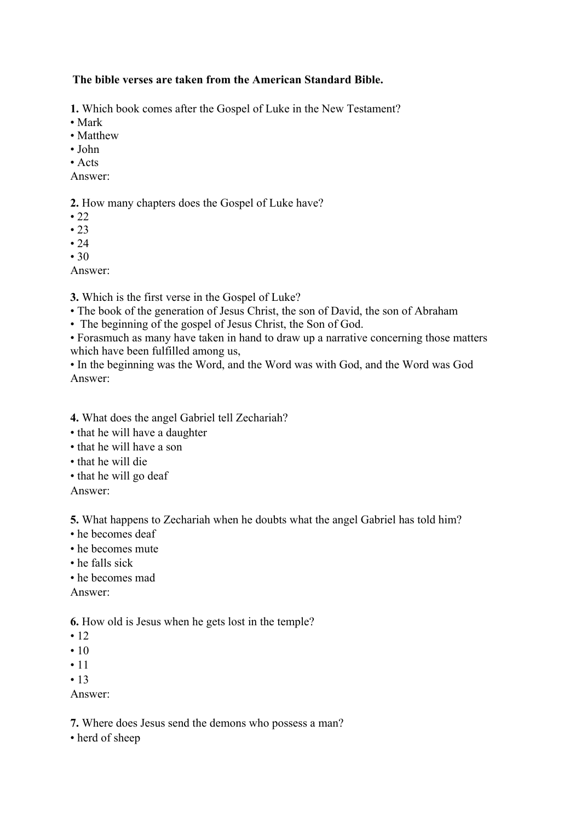## **The bible verses are taken from the American Standard Bible.**

**1.** Which book comes after the Gospel of Luke in the New Testament?

- Mark
- Matthew
- John
- Acts
- Answer:

**2.** How many chapters does the Gospel of Luke have?

- $\cdot$  22
- $23$
- $24$
- $30$

Answer:

**3.** Which is the first verse in the Gospel of Luke?

- The book of the generation of Jesus Christ, the son of David, the son of Abraham
- The beginning of the gospel of Jesus Christ, the Son of God.

• Forasmuch as many have taken in hand to draw up a narrative concerning those matters which have been fulfilled among us,

• In the beginning was the Word, and the Word was with God, and the Word was God Answer:

**4.** What does the angel Gabriel tell Zechariah?

- that he will have a daughter
- that he will have a son
- that he will die
- that he will go deaf

Answer:

**5.** What happens to Zechariah when he doubts what the angel Gabriel has told him?

- he becomes deaf
- he becomes mute
- he falls sick
- he becomes mad

Answer:

**6.** How old is Jesus when he gets lost in the temple?

- 12
- $10$
- 11
- $13$

Answer:

**7.** Where does Jesus send the demons who possess a man?

• herd of sheep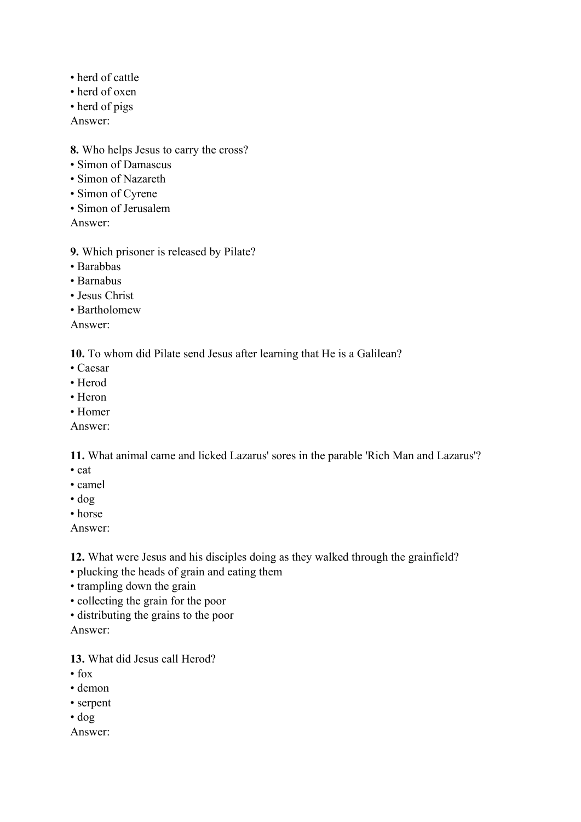- herd of cattle
- herd of oxen
- herd of pigs
- Answer:

## **8.** Who helps Jesus to carry the cross?

- Simon of Damascus
- Simon of Nazareth
- Simon of Cyrene
- Simon of Jerusalem

Answer:

- **9.** Which prisoner is released by Pilate?
- Barabbas
- Barnabus
- Jesus Christ
- Bartholomew

Answer:

**10.** To whom did Pilate send Jesus after learning that He is a Galilean?

- Caesar
- Herod
- Heron
- Homer
- Answer:

**11.** What animal came and licked Lazarus' sores in the parable 'Rich Man and Lazarus'?

- cat
- camel
- dog
- horse

Answer:

**12.** What were Jesus and his disciples doing as they walked through the grainfield?

- plucking the heads of grain and eating them
- trampling down the grain
- collecting the grain for the poor
- distributing the grains to the poor

Answer:

**13.** What did Jesus call Herod?

- $\cdot$  fox
- demon
- serpent
- dog
- Answer: